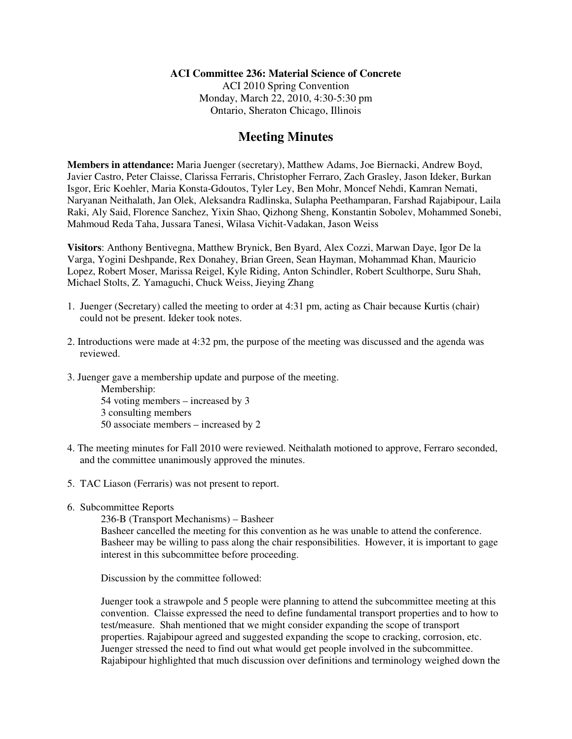## **ACI Committee 236: Material Science of Concrete**

ACI 2010 Spring Convention Monday, March 22, 2010, 4:30-5:30 pm Ontario, Sheraton Chicago, Illinois

# **Meeting Minutes**

**Members in attendance:** Maria Juenger (secretary), Matthew Adams, Joe Biernacki, Andrew Boyd, Javier Castro, Peter Claisse, Clarissa Ferraris, Christopher Ferraro, Zach Grasley, Jason Ideker, Burkan Isgor, Eric Koehler, Maria Konsta-Gdoutos, Tyler Ley, Ben Mohr, Moncef Nehdi, Kamran Nemati, Naryanan Neithalath, Jan Olek, Aleksandra Radlinska, Sulapha Peethamparan, Farshad Rajabipour, Laila Raki, Aly Said, Florence Sanchez, Yixin Shao, Qizhong Sheng, Konstantin Sobolev, Mohammed Sonebi, Mahmoud Reda Taha, Jussara Tanesi, Wilasa Vichit-Vadakan, Jason Weiss

**Visitors**: Anthony Bentivegna, Matthew Brynick, Ben Byard, Alex Cozzi, Marwan Daye, Igor De la Varga, Yogini Deshpande, Rex Donahey, Brian Green, Sean Hayman, Mohammad Khan, Mauricio Lopez, Robert Moser, Marissa Reigel, Kyle Riding, Anton Schindler, Robert Sculthorpe, Suru Shah, Michael Stolts, Z. Yamaguchi, Chuck Weiss, Jieying Zhang

- 1. Juenger (Secretary) called the meeting to order at 4:31 pm, acting as Chair because Kurtis (chair) could not be present. Ideker took notes.
- 2. Introductions were made at 4:32 pm, the purpose of the meeting was discussed and the agenda was reviewed.
- 3. Juenger gave a membership update and purpose of the meeting. Membership:

54 voting members – increased by 3 3 consulting members 50 associate members – increased by 2

- 4. The meeting minutes for Fall 2010 were reviewed. Neithalath motioned to approve, Ferraro seconded, and the committee unanimously approved the minutes.
- 5. TAC Liason (Ferraris) was not present to report.
- 6. Subcommittee Reports

236-B (Transport Mechanisms) – Basheer Basheer cancelled the meeting for this convention as he was unable to attend the conference. Basheer may be willing to pass along the chair responsibilities. However, it is important to gage interest in this subcommittee before proceeding.

Discussion by the committee followed:

Juenger took a strawpole and 5 people were planning to attend the subcommittee meeting at this convention. Claisse expressed the need to define fundamental transport properties and to how to test/measure. Shah mentioned that we might consider expanding the scope of transport properties. Rajabipour agreed and suggested expanding the scope to cracking, corrosion, etc. Juenger stressed the need to find out what would get people involved in the subcommittee. Rajabipour highlighted that much discussion over definitions and terminology weighed down the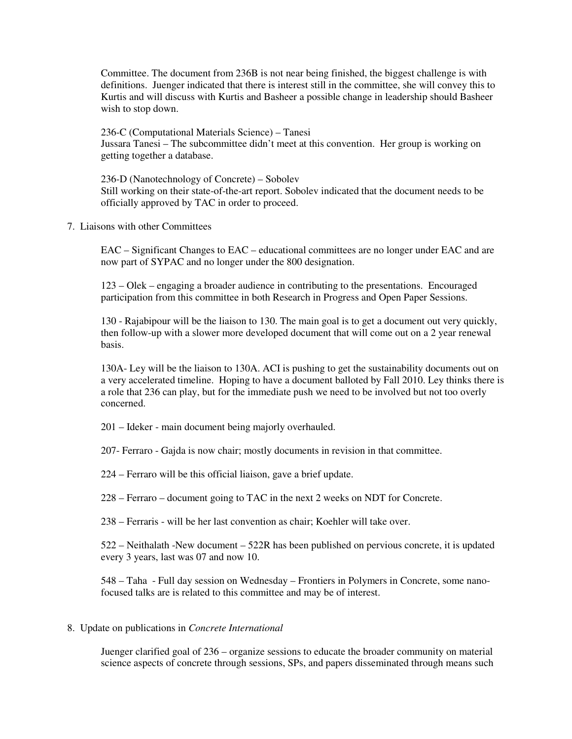Committee. The document from 236B is not near being finished, the biggest challenge is with definitions. Juenger indicated that there is interest still in the committee, she will convey this to Kurtis and will discuss with Kurtis and Basheer a possible change in leadership should Basheer wish to stop down.

236-C (Computational Materials Science) – Tanesi Jussara Tanesi – The subcommittee didn't meet at this convention. Her group is working on getting together a database.

236-D (Nanotechnology of Concrete) – Sobolev Still working on their state-of-the-art report. Sobolev indicated that the document needs to be officially approved by TAC in order to proceed.

7. Liaisons with other Committees

EAC – Significant Changes to EAC – educational committees are no longer under EAC and are now part of SYPAC and no longer under the 800 designation.

123 – Olek – engaging a broader audience in contributing to the presentations. Encouraged participation from this committee in both Research in Progress and Open Paper Sessions.

130 - Rajabipour will be the liaison to 130. The main goal is to get a document out very quickly, then follow-up with a slower more developed document that will come out on a 2 year renewal basis.

130A- Ley will be the liaison to 130A. ACI is pushing to get the sustainability documents out on a very accelerated timeline. Hoping to have a document balloted by Fall 2010. Ley thinks there is a role that 236 can play, but for the immediate push we need to be involved but not too overly concerned.

201 – Ideker - main document being majorly overhauled.

207- Ferraro - Gajda is now chair; mostly documents in revision in that committee.

224 – Ferraro will be this official liaison, gave a brief update.

228 – Ferraro – document going to TAC in the next 2 weeks on NDT for Concrete.

238 – Ferraris - will be her last convention as chair; Koehler will take over.

522 – Neithalath -New document – 522R has been published on pervious concrete, it is updated every 3 years, last was 07 and now 10.

548 – Taha - Full day session on Wednesday – Frontiers in Polymers in Concrete, some nanofocused talks are is related to this committee and may be of interest.

#### 8. Update on publications in *Concrete International*

Juenger clarified goal of 236 – organize sessions to educate the broader community on material science aspects of concrete through sessions, SPs, and papers disseminated through means such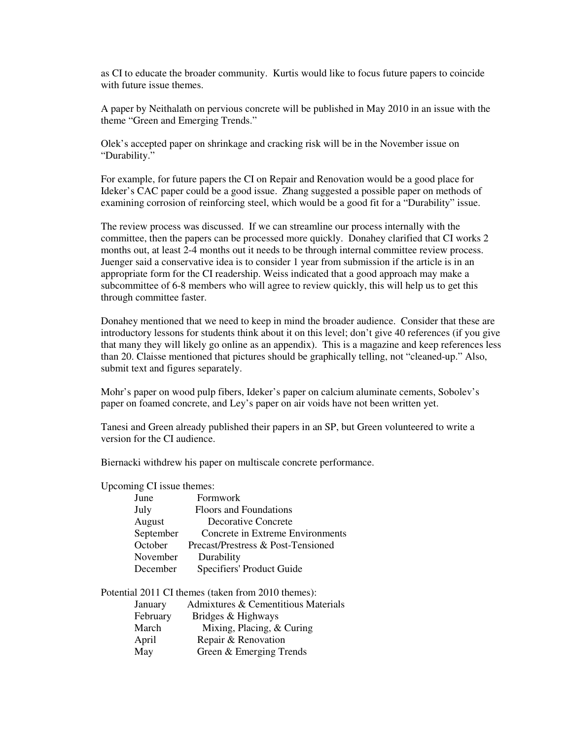as CI to educate the broader community. Kurtis would like to focus future papers to coincide with future issue themes.

A paper by Neithalath on pervious concrete will be published in May 2010 in an issue with the theme "Green and Emerging Trends."

Olek's accepted paper on shrinkage and cracking risk will be in the November issue on "Durability."

For example, for future papers the CI on Repair and Renovation would be a good place for Ideker's CAC paper could be a good issue. Zhang suggested a possible paper on methods of examining corrosion of reinforcing steel, which would be a good fit for a "Durability" issue.

The review process was discussed. If we can streamline our process internally with the committee, then the papers can be processed more quickly. Donahey clarified that CI works 2 months out, at least 2-4 months out it needs to be through internal committee review process. Juenger said a conservative idea is to consider 1 year from submission if the article is in an appropriate form for the CI readership. Weiss indicated that a good approach may make a subcommittee of 6-8 members who will agree to review quickly, this will help us to get this through committee faster.

Donahey mentioned that we need to keep in mind the broader audience. Consider that these are introductory lessons for students think about it on this level; don't give 40 references (if you give that many they will likely go online as an appendix). This is a magazine and keep references less than 20. Claisse mentioned that pictures should be graphically telling, not "cleaned-up." Also, submit text and figures separately.

Mohr's paper on wood pulp fibers, Ideker's paper on calcium aluminate cements, Sobolev's paper on foamed concrete, and Ley's paper on air voids have not been written yet.

Tanesi and Green already published their papers in an SP, but Green volunteered to write a version for the CI audience.

Biernacki withdrew his paper on multiscale concrete performance.

Upcoming CI issue themes:

| June      | Formwork                           |
|-----------|------------------------------------|
| July      | <b>Floors and Foundations</b>      |
| August    | <b>Decorative Concrete</b>         |
| September | Concrete in Extreme Environments   |
| October   | Precast/Prestress & Post-Tensioned |
| November  | Durability                         |
| December  | Specifiers' Product Guide          |

Potential 2011 CI themes (taken from 2010 themes): January Admixtures & Cementitious Materials February Bridges & Highways March Mixing, Placing, & Curing April Repair & Renovation May Green & Emerging Trends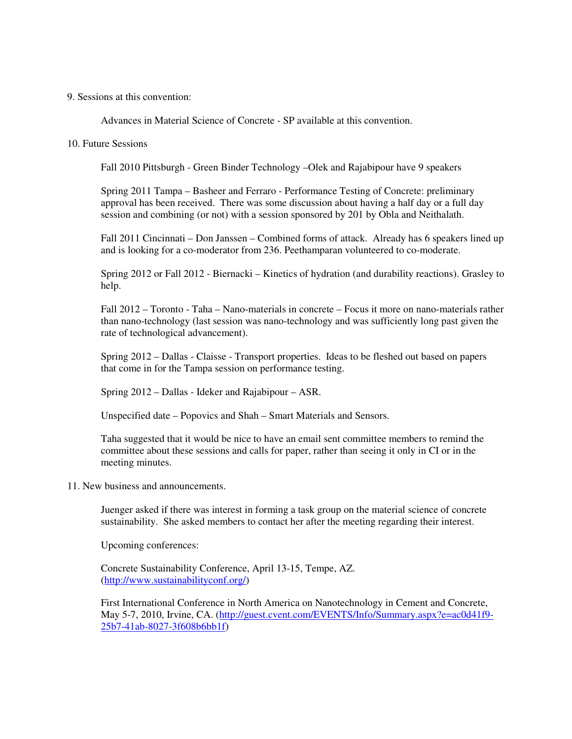#### 9. Sessions at this convention:

Advances in Material Science of Concrete - SP available at this convention.

### 10. Future Sessions

Fall 2010 Pittsburgh - Green Binder Technology –Olek and Rajabipour have 9 speakers

Spring 2011 Tampa – Basheer and Ferraro - Performance Testing of Concrete: preliminary approval has been received. There was some discussion about having a half day or a full day session and combining (or not) with a session sponsored by 201 by Obla and Neithalath.

Fall 2011 Cincinnati – Don Janssen – Combined forms of attack. Already has 6 speakers lined up and is looking for a co-moderator from 236. Peethamparan volunteered to co-moderate.

Spring 2012 or Fall 2012 - Biernacki – Kinetics of hydration (and durability reactions). Grasley to help.

Fall 2012 – Toronto - Taha – Nano-materials in concrete – Focus it more on nano-materials rather than nano-technology (last session was nano-technology and was sufficiently long past given the rate of technological advancement).

Spring 2012 – Dallas - Claisse - Transport properties. Ideas to be fleshed out based on papers that come in for the Tampa session on performance testing.

Spring 2012 – Dallas - Ideker and Rajabipour – ASR.

Unspecified date – Popovics and Shah – Smart Materials and Sensors.

Taha suggested that it would be nice to have an email sent committee members to remind the committee about these sessions and calls for paper, rather than seeing it only in CI or in the meeting minutes.

11. New business and announcements.

Juenger asked if there was interest in forming a task group on the material science of concrete sustainability. She asked members to contact her after the meeting regarding their interest.

Upcoming conferences:

Concrete Sustainability Conference, April 13-15, Tempe, AZ. (http://www.sustainabilityconf.org/)

First International Conference in North America on Nanotechnology in Cement and Concrete, May 5-7, 2010, Irvine, CA. (http://guest.cvent.com/EVENTS/Info/Summary.aspx?e=ac0d41f9- 25b7-41ab-8027-3f608b6bb1f)